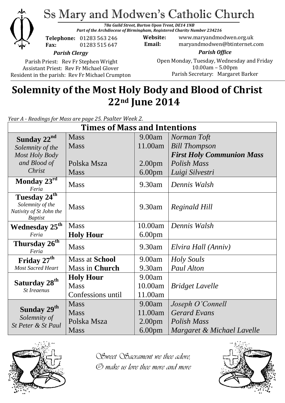

# Ss Mary and Modwen's Catholic Church

*78a Guild Street, Burton Upon Trent, DE14 1NB Part of the Archdiocese of Birmingham, Registered Charity Number 234216*

**Telephone:** 01283 563 246 **Fax:** 01283 515 647

**Website:** www.maryandmodwen.org.uk **Email:** maryandmodwen@btinternet.com

*Parish Clergy*

Parish Priest: Rev Fr Stephen Wright Assistant Priest: Rev Fr Michael Glover Resident in the parish: Rev Fr Michael Crumpton

*Parish Office* Open Monday, Tuesday, Wednesday and Friday 10.00am – 5.00pm Parish Secretary:Margaret Barker

## **Solemnity of the Most Holy Body and Blood of Christ 22nd June 2014**

*Year A - Readings for Mass are page 25. Psalter Week 2.*

| <b>Times of Mass and Intentions</b>               |                       |                    |                                  |
|---------------------------------------------------|-----------------------|--------------------|----------------------------------|
| Sunday 22 <sup>nd</sup>                           | <b>Mass</b>           | 9.00am             | Norman Toft                      |
| Solemnity of the                                  | <b>Mass</b>           | 11.00am            | <b>Bill Thompson</b>             |
| Most Holy Body                                    |                       |                    | <b>First Holy Communion Mass</b> |
| and Blood of                                      | Polska Msza           | 2.00 <sub>pm</sub> | <b>Polish Mass</b>               |
| Christ                                            | <b>Mass</b>           | 6.00 <sub>pm</sub> | Luigi Silvestri                  |
| Monday 23rd<br>Feria                              | <b>Mass</b>           | 9.30am             | Dennis Walsh                     |
| Tuesday 24 <sup>th</sup>                          |                       |                    |                                  |
| Solemnity of the                                  | <b>Mass</b>           | 9.30am             | Reginald Hill                    |
| Nativity of St John the<br><b>Baptist</b>         |                       |                    |                                  |
| Wednesday 25 <sup>th</sup>                        | <b>Mass</b>           | 10.00am            | Dennis Walsh                     |
| Feria                                             | <b>Holy Hour</b>      | 6.00 <sub>pm</sub> |                                  |
| Thursday 26 <sup>th</sup><br>Feria                | <b>Mass</b>           | 9.30am             | Elvira Hall (Anniv)              |
| Friday 27 <sup>th</sup>                           | <b>Mass at School</b> | 9.00am             | Holy Souls                       |
| <b>Most Sacred Heart</b>                          | Mass in Church        | 9.30am             | <b>Paul Alton</b>                |
| Saturday 28 <sup>th</sup><br><b>St Ireaenus</b>   | <b>Holy Hour</b>      | 9.00am             |                                  |
|                                                   | <b>Mass</b>           | 10.00am            | <b>Bridget Lavelle</b>           |
|                                                   | Confessions until     | 11.00am            |                                  |
| Sunday 29th<br>Solemnity of<br>St Peter & St Paul | <b>Mass</b>           | 9.00am             | Joseph O'Connell                 |
|                                                   | <b>Mass</b>           | 11.00am            | <b>Gerard Evans</b>              |
|                                                   | Polska Msza           | 2.00 <sub>pm</sub> | <b>Polish Mass</b>               |
|                                                   | <b>Mass</b>           | 6.00 <sub>pm</sub> | Margaret & Michael Lavelle       |



*Sweet Sacrament we thee adore, O make us love thee more and more*

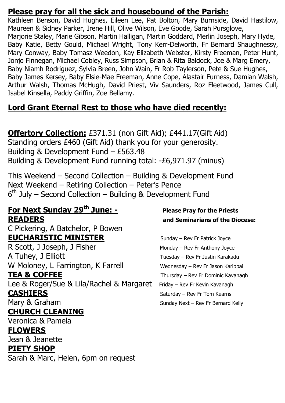#### **Please pray for all the sick and housebound of the Parish:**

Kathleen Benson, David Hughes, Eileen Lee, Pat Bolton, Mary Burnside, David Hastilow, Maureen & Sidney Parker, Irene Hill, Olive Wilson, Eve Goode, Sarah Pursglove, Marjorie Staley, Marie Gibson, Martin Halligan, Martin Goddard, Merlin Joseph, Mary Hyde, Baby Katie, Betty Gould, Michael Wright, Tony Kerr-Delworth, Fr Bernard Shaughnessy, Mary Conway, Baby Tomasz Weedon, Kay Elizabeth Webster, Kirsty Freeman, Peter Hunt, Jonjo Finnegan, Michael Cobley, Russ Simpson, Brian & Rita Baldock, Joe & Marg Emery, Baby Niamh Rodriguez, Sylvia Breen, John Wain, Fr Rob Taylerson, Pete & Sue Hughes, Baby James Kersey, Baby Elsie-Mae Freeman, Anne Cope, Alastair Furness, Damian Walsh, Arthur Walsh, Thomas McHugh, David Priest, Viv Saunders, Roz Fleetwood, James Cull, Isabel Kinsella, Paddy Griffin, Zoe Bellamy.

#### **Lord Grant Eternal Rest to those who have died recently:**

**Offertory Collection:** £371.31 (non Gift Aid); £441.17(Gift Aid) Standing orders £460 (Gift Aid) thank you for your generosity. Building & Development Fund – £563.48 Building & Development Fund running total: -£6,971.97 (minus)

This Weekend – Second Collection – Building & Development Fund Next Weekend – Retiring Collection – Peter's Pence 6<sup>th</sup> July – Second Collection – Building & Development Fund

#### **For Next Sunday 29th June: - Please Pray for the Priests READERS and Seminarians of the Diocese:**

C Pickering, A Batchelor, P Bowen **EUCHARISTIC MINISTER** Sunday – Rev Fr Patrick Joyce

R Scott, J Joseph, J Fisher Monday – Rev Fr Anthony Joyce A Tuhey, J Elliott Tuesday – Rev Fr Justin Karakadu W Moloney, L Farrington, K Farrell Wednesday – Rev Fr Jason Karippai **TEA & COFFEE** Thursday – Rev Fr Dominic Kavanagh

Lee & Roger/Sue & Lila/Rachel & Margaret Friday - Rev Fr Kevin Kavanagh **CASHIERS** Saturday – Rev Fr Tom Kearns

#### **CHURCH CLEANING**

Veronica & Pamela

#### **FLOWERS**

Jean & Jeanette

#### **PIETY SHOP**

Sarah & Marc, Helen, 6pm on request

Mary & Graham Sunday Next – Rev Fr Bernard Kelly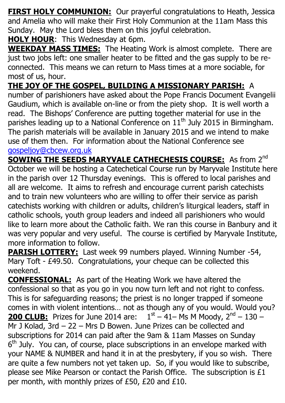**FIRST HOLY COMMUNION:** Our prayerful congratulations to Heath, Jessica and Amelia who will make their First Holy Communion at the 11am Mass this Sunday. May the Lord bless them on this joyful celebration.

**HOLY HOUR:** This Wednesday at 6pm.

**WEEKDAY MASS TIMES:** The Heating Work is almost complete. There are just two jobs left: one smaller heater to be fitted and the gas supply to be reconnected. This means we can return to Mass times at a more sociable, for most of us, hour.

### **THE JOY OF THE GOSPEL, BUILDING A MISSIONARY PARISH:** A

number of parishioners have asked about the Pope Francis Document Evangelii Gaudium, which is available on-line or from the piety shop. It is well worth a read. The Bishops' Conference are putting together material for use in the parishes leading up to a National Conference on  $11<sup>th</sup>$  July 2015 in Birmingham. The parish materials will be available in January 2015 and we intend to make use of them then. For information about the National Conference see [gospeljoy@cbcew.org.uk](mailto:gospeljoy@cbcew.org.uk)

**SOWING THE SEEDS MARYVALE CATHECHESIS COURSE:** As from 2<sup>nd</sup> October we will be hosting a Catechetical Course run by Maryvale Institute here in the parish over 12 Thursday evenings. This is offered to local parishes and all are welcome. It aims to refresh and encourage current parish catechists and to train new volunteers who are willing to offer their service as parish catechists working with children or adults, children's liturgical leaders, staff in catholic schools, youth group leaders and indeed all parishioners who would like to learn more about the Catholic faith. We ran this course in Banbury and it was very popular and very useful. The course is certified by Maryvale Institute, more information to follow.

**PARISH LOTTERY:** Last week 99 numbers played. Winning Number -54, Mary Toft - £49.50. Congratulations, your cheque can be collected this weekend.

**CONFESSIONAL:** As part of the Heating Work we have altered the confessional so that as you go in you now turn left and not right to confess. This is for safeguarding reasons; the priest is no longer trapped if someone comes in with violent intentions… not as though any of you would. Would you? **200 CLUB:** Prizes for June 2014 are:  $1<sup>st</sup> - 41 - Ms$  M Moody,  $2<sup>nd</sup> - 130 -$ Mr J Kolad, 3rd – 22 – Mrs D Bowen. June Prizes can be collected and subscriptions for 2014 can paid after the 9am & 11am Masses on Sunday 6<sup>th</sup> July. You can, of course, place subscriptions in an envelope marked with your NAME & NUMBER and hand it in at the presbytery, if you so wish. There are quite a few numbers not yet taken up. So, if you would like to subscribe, please see Mike Pearson or contact the Parish Office. The subscription is £1 per month, with monthly prizes of £50, £20 and £10.